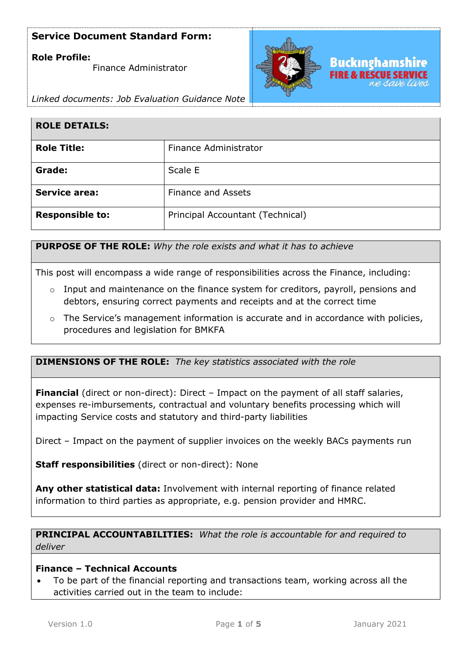### **Role Profile:**

Finance Administrator



*Linked documents: Job Evaluation Guidance Note*

| <b>ROLE DETAILS:</b>   |                                  |
|------------------------|----------------------------------|
| <b>Role Title:</b>     | Finance Administrator            |
| Grade:                 | Scale E                          |
| <b>Service area:</b>   | <b>Finance and Assets</b>        |
| <b>Responsible to:</b> | Principal Accountant (Technical) |

**PURPOSE OF THE ROLE:** *Why the role exists and what it has to achieve* 

This post will encompass a wide range of responsibilities across the Finance, including:

- $\circ$  Input and maintenance on the finance system for creditors, payroll, pensions and debtors, ensuring correct payments and receipts and at the correct time
- $\circ$  The Service's management information is accurate and in accordance with policies, procedures and legislation for BMKFA

**DIMENSIONS OF THE ROLE:** *The key statistics associated with the role*

**Financial** (direct or non-direct): Direct – Impact on the payment of all staff salaries, expenses re-imbursements, contractual and voluntary benefits processing which will impacting Service costs and statutory and third-party liabilities

Direct – Impact on the payment of supplier invoices on the weekly BACs payments run

**Staff responsibilities** (direct or non-direct): None

**Any other statistical data:** Involvement with internal reporting of finance related information to third parties as appropriate, e.g. pension provider and HMRC.

**PRINCIPAL ACCOUNTABILITIES:** *What the role is accountable for and required to deliver*

### **Finance – Technical Accounts**

• To be part of the financial reporting and transactions team, working across all the activities carried out in the team to include: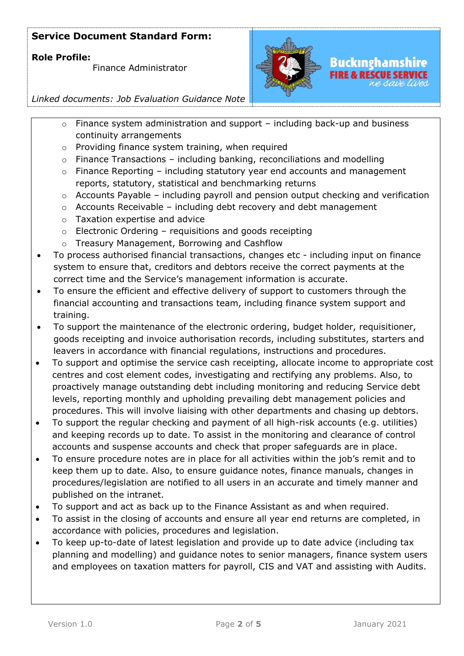### **Role Profile:**

Finance Administrator



## *Linked documents: Job Evaluation Guidance Note*

- $\circ$  Finance system administration and support including back-up and business continuity arrangements
- o Providing finance system training, when required
- $\circ$  Finance Transactions including banking, reconciliations and modelling
- $\circ$  Finance Reporting including statutory year end accounts and management reports, statutory, statistical and benchmarking returns
- o Accounts Payable including payroll and pension output checking and verification
- $\circ$  Accounts Receivable including debt recovery and debt management
- o Taxation expertise and advice
- $\circ$  Electronic Ordering requisitions and goods receipting
- o Treasury Management, Borrowing and Cashflow
- To process authorised financial transactions, changes etc including input on finance system to ensure that, creditors and debtors receive the correct payments at the correct time and the Service's management information is accurate.
- To ensure the efficient and effective delivery of support to customers through the financial accounting and transactions team, including finance system support and training.
- To support the maintenance of the electronic ordering, budget holder, requisitioner, goods receipting and invoice authorisation records, including substitutes, starters and leavers in accordance with financial regulations, instructions and procedures.
- To support and optimise the service cash receipting, allocate income to appropriate cost centres and cost element codes, investigating and rectifying any problems. Also, to proactively manage outstanding debt including monitoring and reducing Service debt levels, reporting monthly and upholding prevailing debt management policies and procedures. This will involve liaising with other departments and chasing up debtors.
- To support the regular checking and payment of all high-risk accounts (e.g. utilities) and keeping records up to date. To assist in the monitoring and clearance of control accounts and suspense accounts and check that proper safeguards are in place.
- To ensure procedure notes are in place for all activities within the job's remit and to keep them up to date. Also, to ensure guidance notes, finance manuals, changes in procedures/legislation are notified to all users in an accurate and timely manner and published on the intranet.
- To support and act as back up to the Finance Assistant as and when required.
- To assist in the closing of accounts and ensure all year end returns are completed, in accordance with policies, procedures and legislation.
- To keep up-to-date of latest legislation and provide up to date advice (including tax planning and modelling) and guidance notes to senior managers, finance system users and employees on taxation matters for payroll, CIS and VAT and assisting with Audits.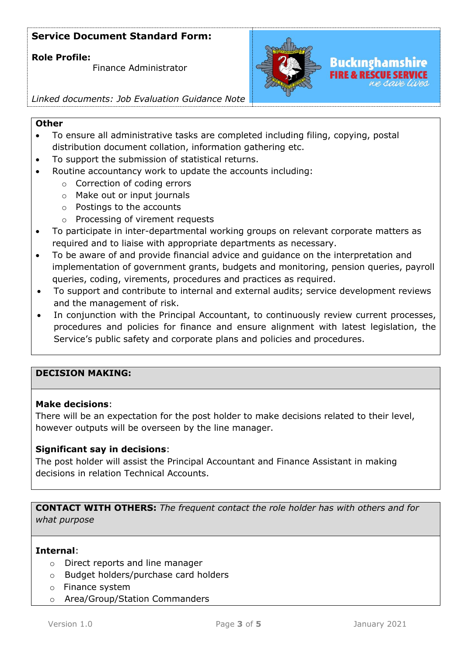### **Role Profile:**

Finance Administrator



## *Linked documents: Job Evaluation Guidance Note*

#### **Other**

- To ensure all administrative tasks are completed including filing, copying, postal distribution document collation, information gathering etc.
- To support the submission of statistical returns.
- Routine accountancy work to update the accounts including:
	- o Correction of coding errors
	- o Make out or input journals
	- o Postings to the accounts
	- o Processing of virement requests
- To participate in inter-departmental working groups on relevant corporate matters as required and to liaise with appropriate departments as necessary.
- To be aware of and provide financial advice and guidance on the interpretation and implementation of government grants, budgets and monitoring, pension queries, payroll queries, coding, virements, procedures and practices as required.
- To support and contribute to internal and external audits; service development reviews and the management of risk.
- In conjunction with the Principal Accountant, to continuously review current processes, procedures and policies for finance and ensure alignment with latest legislation, the Service's public safety and corporate plans and policies and procedures.

### **DECISION MAKING:**

#### **Make decisions**:

There will be an expectation for the post holder to make decisions related to their level, however outputs will be overseen by the line manager.

### **Significant say in decisions**:

The post holder will assist the Principal Accountant and Finance Assistant in making decisions in relation Technical Accounts.

**CONTACT WITH OTHERS:** *The frequent contact the role holder has with others and for what purpose* 

#### **Internal**:

- o Direct reports and line manager
- o Budget holders/purchase card holders
- o Finance system
- o Area/Group/Station Commanders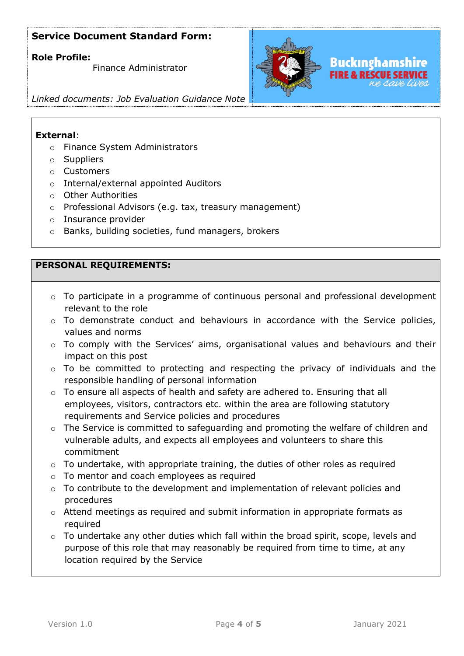### **Role Profile:**

Finance Administrator



Buckınghamshire

### *Linked documents: Job Evaluation Guidance Note*

### **External**:

- o Finance System Administrators
- o Suppliers
- o Customers
- o Internal/external appointed Auditors
- o Other Authorities
- o Professional Advisors (e.g. tax, treasury management)
- o Insurance provider
- o Banks, building societies, fund managers, brokers

### **PERSONAL REQUIREMENTS:**

- $\circ$  To participate in a programme of continuous personal and professional development relevant to the role
- o To demonstrate conduct and behaviours in accordance with the Service policies, values and norms
- o To comply with the Services' aims, organisational values and behaviours and their impact on this post
- o To be committed to protecting and respecting the privacy of individuals and the responsible handling of personal information
- o To ensure all aspects of health and safety are adhered to. Ensuring that all employees, visitors, contractors etc. within the area are following statutory requirements and Service policies and procedures
- o The Service is committed to safeguarding and promoting the welfare of children and vulnerable adults, and expects all employees and volunteers to share this commitment
- o To undertake, with appropriate training, the duties of other roles as required
- o To mentor and coach employees as required
- o To contribute to the development and implementation of relevant policies and procedures
- o Attend meetings as required and submit information in appropriate formats as required
- o To undertake any other duties which fall within the broad spirit, scope, levels and purpose of this role that may reasonably be required from time to time, at any location required by the Service